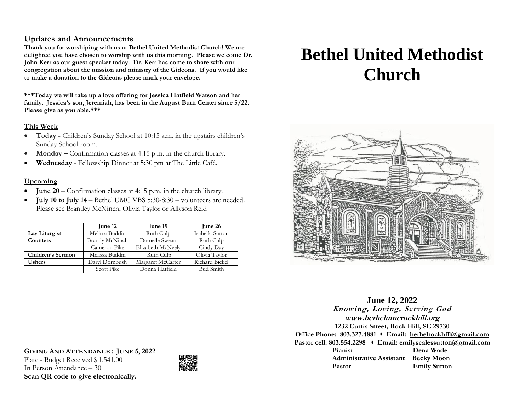# **Updates and Announcements**

**Thank you for worshiping with us at Bethel United Methodist Church! We are delighted you have chosen to worship with us this morning. Please welcome Dr. John Kerr as our guest speaker today. Dr. Kerr has come to share with our congregation about the mission and ministry of the Gideons. If you would like to make a donation to the Gideons please mark your envelope.** 

**\*\*\*Today we will take up a love offering for Jessica Hatfield Watson and her family. Jessica's son, Jeremiah, has been in the August Burn Center since 5/22. Please give as you able.\*\*\***

# **This Week**

- **Today -** Children's Sunday School at 10:15 a.m. in the upstairs children's Sunday School room.
- **Monday –** Confirmation classes at 4:15 p.m. in the church library.
- **Wednesday** Fellowship Dinner at 5:30 pm at The Little Café.

# **Upcoming**

- **June 20** Confirmation classes at 4:15 p.m. in the church library.
- **July 10 to July 14** Bethel UMC VBS 5:30-8:30 volunteers are needed. Please see Brantley McNinch, Olivia Taylor or Allyson Reid

|                   | June 12                | June 19           | June 26          |
|-------------------|------------------------|-------------------|------------------|
| Lay Liturgist     | Melissa Buddin         | Ruth Culp         | Isabella Sutton  |
| Counters          | <b>Brantly McNinch</b> | Darnelle Sweatt   | Ruth Culp        |
|                   | Cameron Pike           | Elizabeth McNeely | Cindy Day        |
| Children's Sermon | Melissa Buddin         | Ruth Culp         | Olivia Taylor    |
| <b>Ushers</b>     | Daryl Dornbush         | Margaret McCarter | Richard Bickel   |
|                   | Scott Pike             | Donna Hatfield    | <b>Bud Smith</b> |

# **Bethel United Methodist Church**



**June 12, 2022 Knowing, Loving, Serving God [www.bethelumcrockhill.org](http://www.bethelrockhill.org/) 1232 Curtis Street, Rock Hill, SC 29730 Office Phone: 803.327.4881** ⬧ **Email: [bethelrockhill@gmail.com](mailto:bethelrockhill@gmail.com) Pastor cell: 803.554.2298** ⬧ **Email: emilyscalessutton@gmail.com Pianist Dena Wade Administrative Assistant Becky Moon** Pastor **Emily Sutton** 

**GIVING AND ATTENDANCE : JUNE 5, 2022** Plate - Budget Received \$ 1,541.00 In Person Attendance – 30 **Scan QR code to give electronically.**